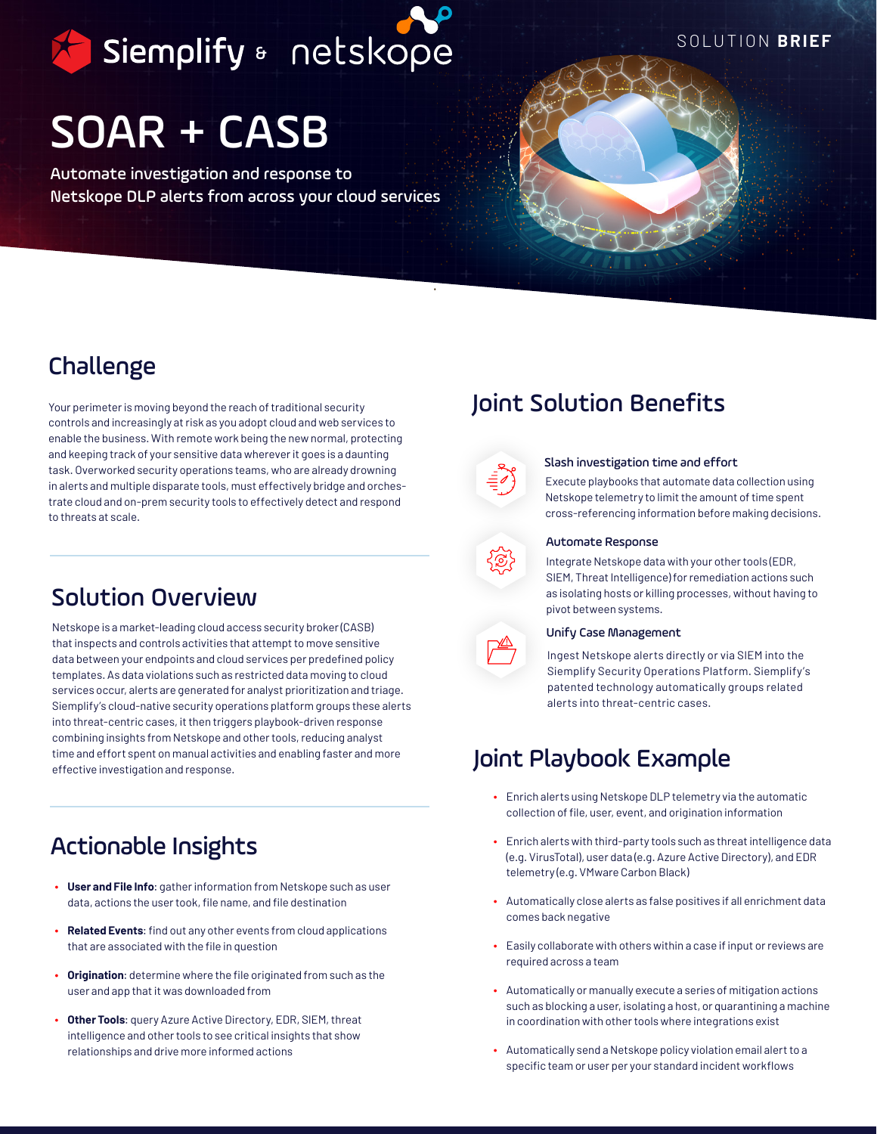Siemplify & netskope

SOLUTION **BRIEF**

# SOAR + CASB

Automate investigation and response to Netskope DLP alerts from across your cloud services



### Challenge

Your perimeter is moving beyond the reach of traditional security controls and increasingly at risk as you adopt cloud and web services to enable the business. With remote work being the new normal, protecting and keeping track of your sensitive data wherever it goes is a daunting task. Overworked security operations teams, who are already drowning in alerts and multiple disparate tools, must effectively bridge and orchestrate cloud and on-prem security tools to effectively detect and respond to threats at scale.

### Solution Overview

Netskope is a market-leading cloud access security broker (CASB) that inspects and controls activities that attempt to move sensitive data between your endpoints and cloud services per predefined policy templates. As data violations such as restricted data moving to cloud services occur, alerts are generated for analyst prioritization and triage. Siemplify's cloud-native security operations platform groups these alerts into threat-centric cases, it then triggers playbook-driven response combining insights from Netskope and other tools, reducing analyst time and effort spent on manual activities and enabling faster and more effective investigation and response.

## Actionable Insights

- **User and File Info**: gather information from Netskope such as user data, actions the user took, file name, and file destination
- **Related Events**: find out any other events from cloud applications that are associated with the file in question
- **Origination**: determine where the file originated from such as the user and app that it was downloaded from
- **Other Tools**: query Azure Active Directory, EDR, SIEM, threat intelligence and other tools to see critical insights that show relationships and drive more informed actions

## Joint Solution Benefits



#### Slash investigation time and effort

Execute playbooks that automate data collection using Netskope telemetry to limit the amount of time spent cross-referencing information before making decisions.



#### Automate Response

Integrate Netskope data with your other tools (EDR, SIEM, Threat Intelligence) for remediation actions such as isolating hosts or killing processes, without having to pivot between systems.



#### Unify Case Management

Ingest Netskope alerts directly or via SIEM into the Siemplify Security Operations Platform. Siemplify's patented technology automatically groups related alerts into threat-centric cases.

## Joint Playbook Example

- Enrich alerts using Netskope DLP telemetry via the automatic collection of file, user, event, and origination information
- Enrich alerts with third-party tools such as threat intelligence data (e.g. VirusTotal), user data (e.g. Azure Active Directory), and EDR telemetry (e.g. VMware Carbon Black)
- Automatically close alerts as false positives if all enrichment data comes back negative
- Easily collaborate with others within a case if input or reviews are required across a team
- Automatically or manually execute a series of mitigation actions such as blocking a user, isolating a host, or quarantining a machine in coordination with other tools where integrations exist
- Automatically send a Netskope policy violation email alert to a specific team or user per your standard incident workflows